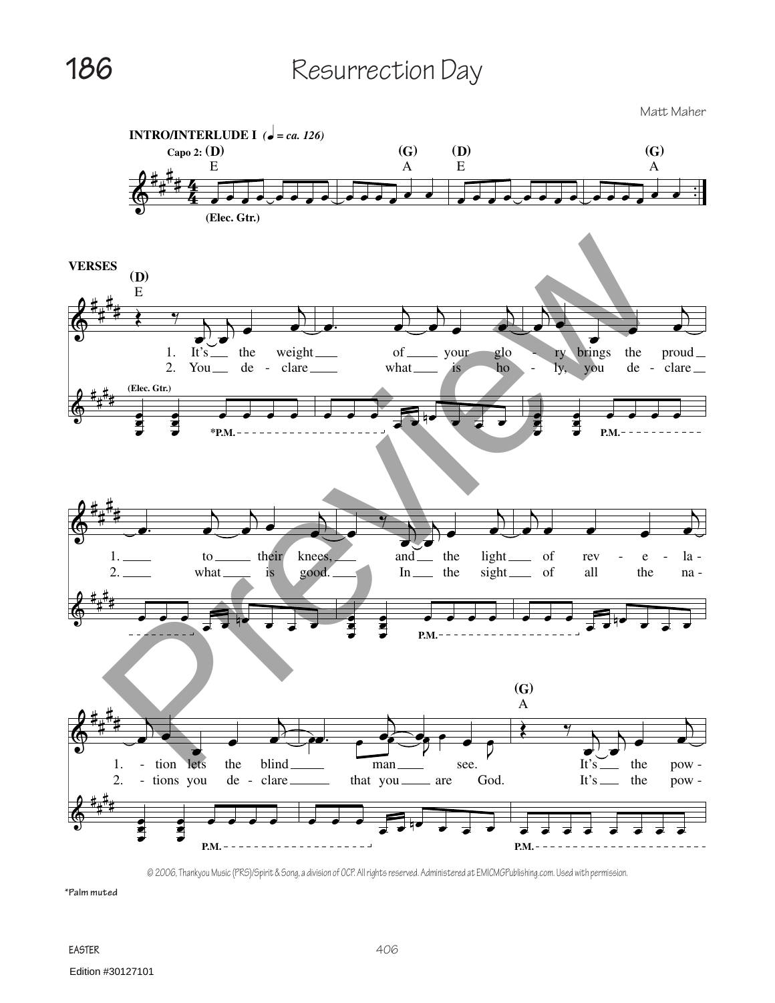**186** Resurrection Day

Matt Maher



© 2006, Thankyou Music (PRS)/Spirit & Song, a division of OCP. All rights reserved. Administered at EMICMGPublishing.com. Used with permission.

**\*Palm muted**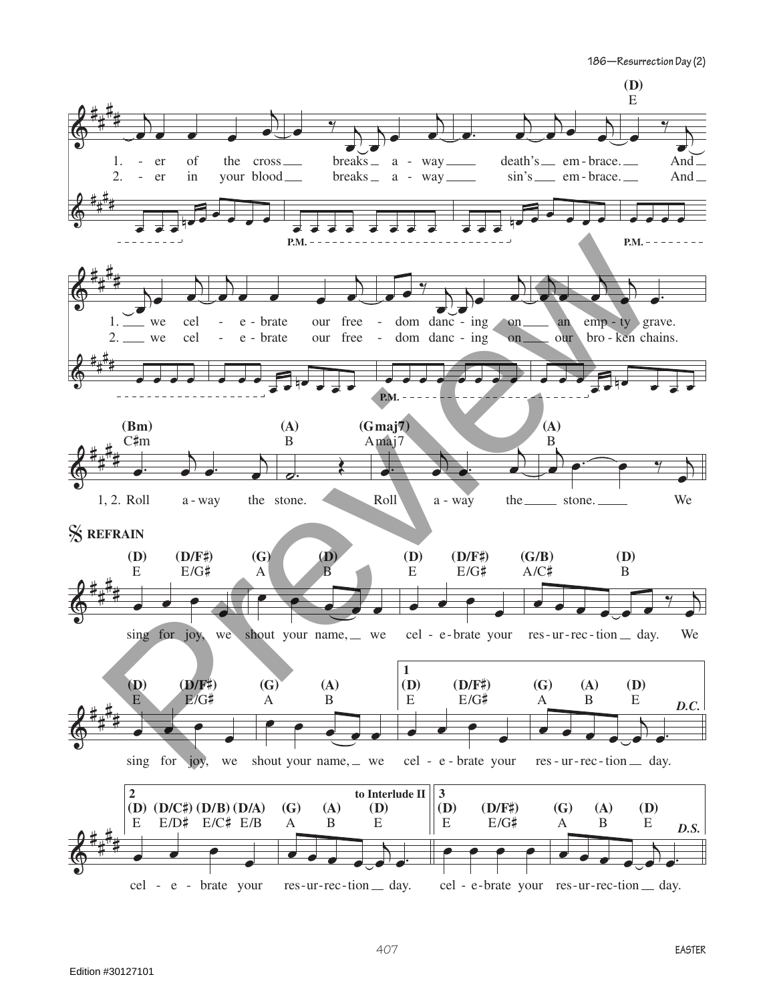**186—Resurrection Day (2)**